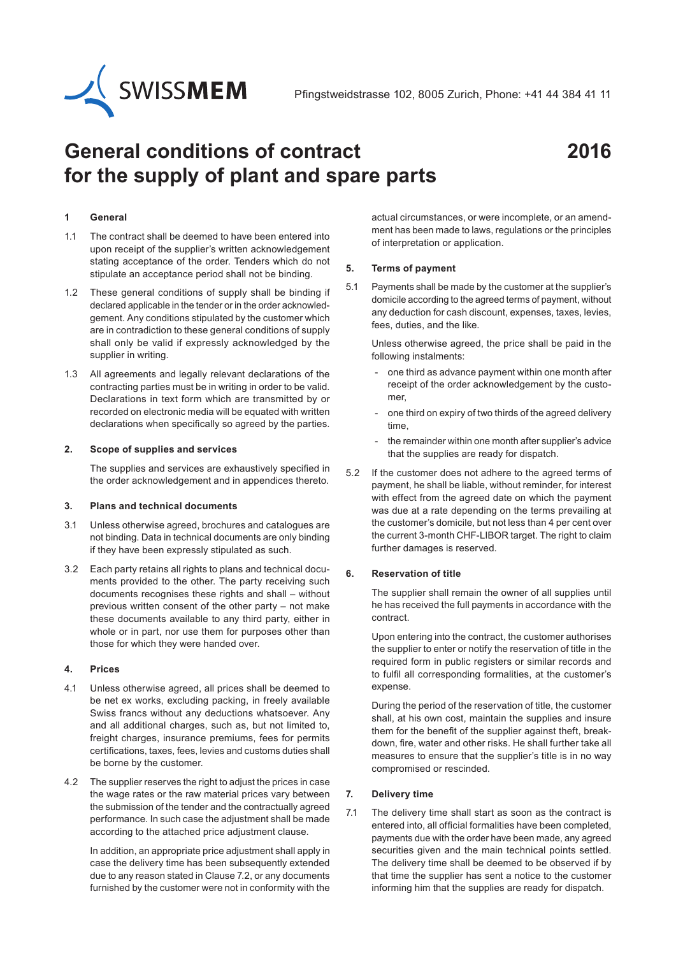

# **General conditions of contract for the supply of plant and spare parts**

# **2016**

# **1 General**

- 1.1 The contract shall be deemed to have been entered into upon receipt of the supplier's written acknowledgement stating acceptance of the order. Tenders which do not stipulate an acceptance period shall not be binding.
- 1.2 These general conditions of supply shall be binding if declared applicable in the tender or in the order acknowledgement. Any conditions stipulated by the customer which are in contradiction to these general conditions of supply shall only be valid if expressly acknowledged by the supplier in writing.
- 1.3 All agreements and legally relevant declarations of the contracting parties must be in writing in order to be valid. Declarations in text form which are transmitted by or recorded on electronic media will be equated with written declarations when specifically so agreed by the parties.

#### **2. Scope of supplies and services**

The supplies and services are exhaustively specified in the order acknowledgement and in appendices thereto.

#### **3. Plans and technical documents**

- 3.1 Unless otherwise agreed, brochures and catalogues are not binding. Data in technical documents are only binding if they have been expressly stipulated as such.
- 3.2 Each party retains all rights to plans and technical documents provided to the other. The party receiving such documents recognises these rights and shall – without previous written consent of the other party – not make these documents available to any third party, either in whole or in part, nor use them for purposes other than those for which they were handed over.

# **4. Prices**

- 4.1 Unless otherwise agreed, all prices shall be deemed to be net ex works, excluding packing, in freely available Swiss francs without any deductions whatsoever. Any and all additional charges, such as, but not limited to, freight charges, insurance premiums, fees for permits certifications, taxes, fees, levies and customs duties shall be borne by the customer.
- 4.2 The supplier reserves the right to adjust the prices in case the wage rates or the raw material prices vary between the submission of the tender and the contractually agreed performance. In such case the adjustment shall be made according to the attached price adjustment clause.

In addition, an appropriate price adjustment shall apply in case the delivery time has been subsequently extended due to any reason stated in Clause 7.2, or any documents furnished by the customer were not in conformity with the actual circumstances, or were incomplete, or an amendment has been made to laws, regulations or the principles of interpretation or application.

#### **5. Terms of payment**

5.1 Payments shall be made by the customer at the supplier's domicile according to the agreed terms of payment, without any deduction for cash discount, expenses, taxes, levies, fees, duties, and the like.

Unless otherwise agreed, the price shall be paid in the following instalments:

- one third as advance payment within one month after receipt of the order acknowledgement by the customer,
- one third on expiry of two thirds of the agreed delivery time,
- the remainder within one month after supplier's advice that the supplies are ready for dispatch.
- 5.2 If the customer does not adhere to the agreed terms of payment, he shall be liable, without reminder, for interest with effect from the agreed date on which the payment was due at a rate depending on the terms prevailing at the customer's domicile, but not less than 4 per cent over the current 3-month CHF-LIBOR target. The right to claim further damages is reserved.

# **6. Reservation of title**

The supplier shall remain the owner of all supplies until he has received the full payments in accordance with the contract.

Upon entering into the contract, the customer authorises the supplier to enter or notify the reservation of title in the required form in public registers or similar records and to fulfil all corresponding formalities, at the customer's expense.

During the period of the reservation of title, the customer shall, at his own cost, maintain the supplies and insure them for the benefit of the supplier against theft, breakdown, fire, water and other risks. He shall further take all measures to ensure that the supplier's title is in no way compromised or rescinded.

# **7. Delivery time**

7.1 The delivery time shall start as soon as the contract is entered into, all official formalities have been completed, payments due with the order have been made, any agreed securities given and the main technical points settled. The delivery time shall be deemed to be observed if by that time the supplier has sent a notice to the customer informing him that the supplies are ready for dispatch.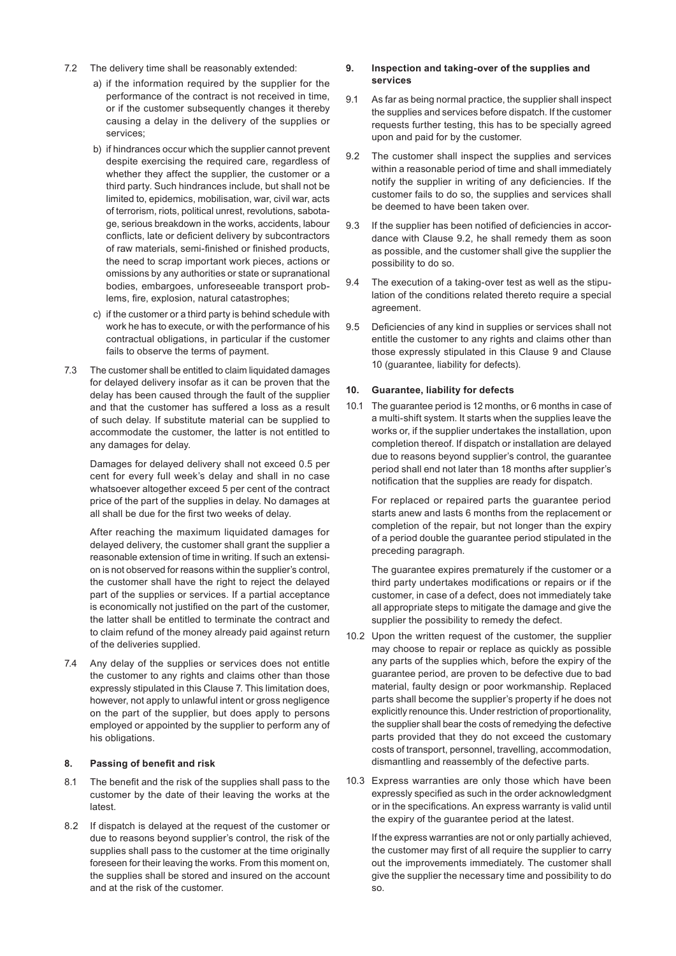- 7.2 The delivery time shall be reasonably extended:
	- a) if the information required by the supplier for the performance of the contract is not received in time, or if the customer subsequently changes it thereby causing a delay in the delivery of the supplies or services;
	- b) if hindrances occur which the supplier cannot prevent despite exercising the required care, regardless of whether they affect the supplier, the customer or a third party. Such hindrances include, but shall not be limited to, epidemics, mobilisation, war, civil war, acts of terrorism, riots, political unrest, revolutions, sabotage, serious breakdown in the works, accidents, labour conflicts, late or deficient delivery by subcontractors of raw materials, semi-finished or finished products, the need to scrap important work pieces, actions or omissions by any authorities or state or supranational bodies, embargoes, unforeseeable transport problems, fire, explosion, natural catastrophes;
	- c) if the customer or a third party is behind schedule with work he has to execute, or with the performance of his contractual obligations, in particular if the customer fails to observe the terms of payment.
- 7.3 The customer shall be entitled to claim liquidated damages for delayed delivery insofar as it can be proven that the delay has been caused through the fault of the supplier and that the customer has suffered a loss as a result of such delay. If substitute material can be supplied to accommodate the customer, the latter is not entitled to any damages for delay.

Damages for delayed delivery shall not exceed 0.5 per cent for every full week's delay and shall in no case whatsoever altogether exceed 5 per cent of the contract price of the part of the supplies in delay. No damages at all shall be due for the first two weeks of delay.

After reaching the maximum liquidated damages for delayed delivery, the customer shall grant the supplier a reasonable extension of time in writing. If such an extension is not observed for reasons within the supplier's control, the customer shall have the right to reject the delayed part of the supplies or services. If a partial acceptance is economically not justified on the part of the customer, the latter shall be entitled to terminate the contract and to claim refund of the money already paid against return of the deliveries supplied.

7.4 Any delay of the supplies or services does not entitle the customer to any rights and claims other than those expressly stipulated in this Clause 7. This limitation does, however, not apply to unlawful intent or gross negligence on the part of the supplier, but does apply to persons employed or appointed by the supplier to perform any of his obligations.

# **8. Passing of benefit and risk**

- 8.1 The benefit and the risk of the supplies shall pass to the customer by the date of their leaving the works at the latest.
- 8.2 If dispatch is delayed at the request of the customer or due to reasons beyond supplier's control, the risk of the supplies shall pass to the customer at the time originally foreseen for their leaving the works. From this moment on, the supplies shall be stored and insured on the account and at the risk of the customer.

#### **9. Inspection and taking-over of the supplies and services**

- 9.1 As far as being normal practice, the supplier shall inspect the supplies and services before dispatch. If the customer requests further testing, this has to be specially agreed upon and paid for by the customer.
- 9.2 The customer shall inspect the supplies and services within a reasonable period of time and shall immediately notify the supplier in writing of any deficiencies. If the customer fails to do so, the supplies and services shall be deemed to have been taken over.
- 9.3 If the supplier has been notified of deficiencies in accordance with Clause 9.2, he shall remedy them as soon as possible, and the customer shall give the supplier the possibility to do so.
- 9.4 The execution of a taking-over test as well as the stipulation of the conditions related thereto require a special agreement.
- 9.5 Deficiencies of any kind in supplies or services shall not entitle the customer to any rights and claims other than those expressly stipulated in this Clause 9 and Clause 10 (guarantee, liability for defects).

# **10. Guarantee, liability for defects**

10.1 The guarantee period is 12 months, or 6 months in case of a multi-shift system. It starts when the supplies leave the works or, if the supplier undertakes the installation, upon completion thereof. If dispatch or installation are delayed due to reasons beyond supplier's control, the guarantee period shall end not later than 18 months after supplier's notification that the supplies are ready for dispatch.

For replaced or repaired parts the guarantee period starts anew and lasts 6 months from the replacement or completion of the repair, but not longer than the expiry of a period double the guarantee period stipulated in the preceding paragraph.

The guarantee expires prematurely if the customer or a third party undertakes modifications or repairs or if the customer, in case of a defect, does not immediately take all appropriate steps to mitigate the damage and give the supplier the possibility to remedy the defect.

- 10.2 Upon the written request of the customer, the supplier may choose to repair or replace as quickly as possible any parts of the supplies which, before the expiry of the guarantee period, are proven to be defective due to bad material, faulty design or poor workmanship. Replaced parts shall become the supplier's property if he does not explicitly renounce this. Under restriction of proportionality, the supplier shall bear the costs of remedying the defective parts provided that they do not exceed the customary costs of transport, personnel, travelling, accommodation, dismantling and reassembly of the defective parts.
- 10.3 Express warranties are only those which have been expressly specified as such in the order acknowledgment or in the specifications. An express warranty is valid until the expiry of the guarantee period at the latest.

If the express warranties are not or only partially achieved, the customer may first of all require the supplier to carry out the improvements immediately. The customer shall give the supplier the necessary time and possibility to do so.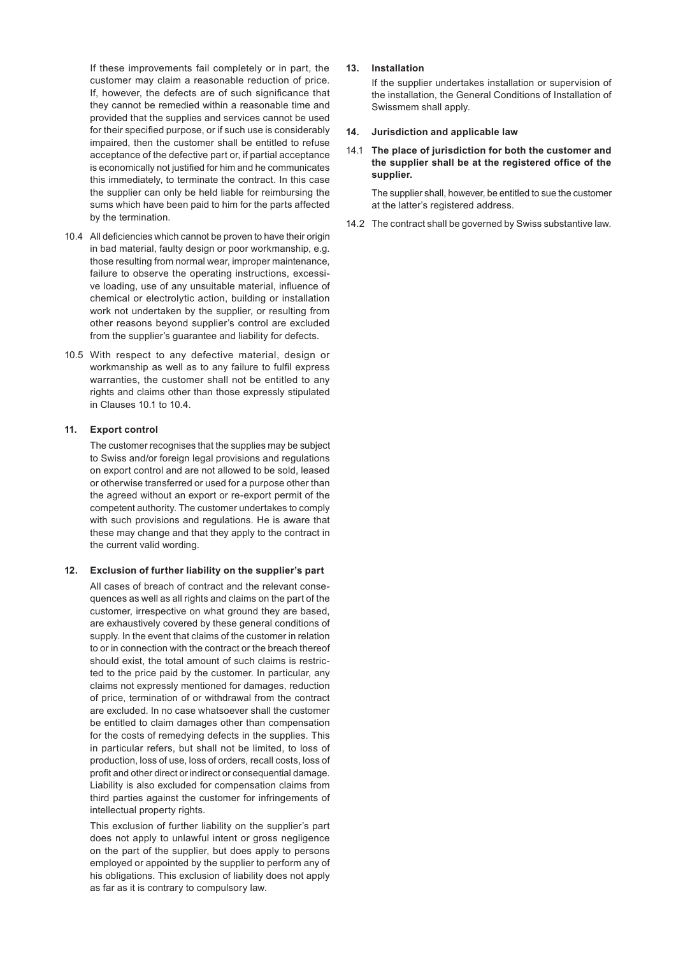If these improvements fail completely or in part, the customer may claim a reasonable reduction of price. If, however, the defects are of such significance that they cannot be remedied within a reasonable time and provided that the supplies and services cannot be used for their specified purpose, or if such use is considerably impaired, then the customer shall be entitled to refuse acceptance of the defective part or, if partial acceptance is economically not justified for him and he communicates this immediately, to terminate the contract. In this case the supplier can only be held liable for reimbursing the sums which have been paid to him for the parts affected by the termination.

- 10.4 All deficiencies which cannot be proven to have their origin in bad material, faulty design or poor workmanship, e.g. those resulting from normal wear, improper maintenance, failure to observe the operating instructions, excessive loading, use of any unsuitable material, influence of chemical or electrolytic action, building or installation work not undertaken by the supplier, or resulting from other reasons beyond supplier's control are excluded from the supplier's guarantee and liability for defects.
- 10.5 With respect to any defective material, design or workmanship as well as to any failure to fulfil express warranties, the customer shall not be entitled to any rights and claims other than those expressly stipulated in Clauses 10.1 to 10.4.

#### **11. Export control**

The customer recognises that the supplies may be subject to Swiss and/or foreign legal provisions and regulations on export control and are not allowed to be sold, leased or otherwise transferred or used for a purpose other than the agreed without an export or re-export permit of the competent authority. The customer undertakes to comply with such provisions and regulations. He is aware that these may change and that they apply to the contract in the current valid wording.

#### **12. Exclusion of further liability on the supplier's part**

All cases of breach of contract and the relevant consequences as well as all rights and claims on the part of the customer, irrespective on what ground they are based, are exhaustively covered by these general conditions of supply. In the event that claims of the customer in relation to or in connection with the contract or the breach thereof should exist, the total amount of such claims is restricted to the price paid by the customer. In particular, any claims not expressly mentioned for damages, reduction of price, termination of or withdrawal from the contract are excluded. In no case whatsoever shall the customer be entitled to claim damages other than compensation for the costs of remedying defects in the supplies. This in particular refers, but shall not be limited, to loss of production, loss of use, loss of orders, recall costs, loss of profit and other direct or indirect or consequential damage. Liability is also excluded for compensation claims from third parties against the customer for infringements of intellectual property rights.

This exclusion of further liability on the supplier's part does not apply to unlawful intent or gross negligence on the part of the supplier, but does apply to persons employed or appointed by the supplier to perform any of his obligations. This exclusion of liability does not apply as far as it is contrary to compulsory law.

# **13. Installation**

If the supplier undertakes installation or supervision of the installation, the General Conditions of Installation of Swissmem shall apply.

#### **14. Jurisdiction and applicable law**

# 14.1 **The place of jurisdiction for both the customer and the supplier shall be at the registered office of the supplier.**

The supplier shall, however, be entitled to sue the customer at the latter's registered address.

14.2 The contract shall be governed by Swiss substantive law.